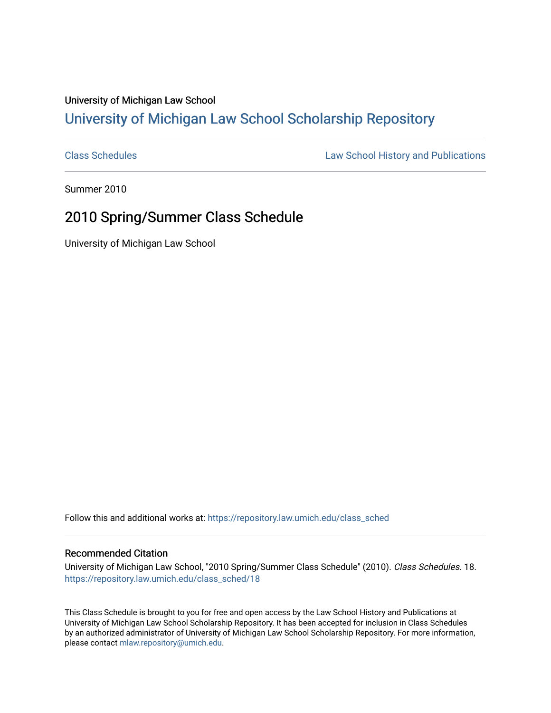## University of Michigan Law School [University of Michigan Law School Scholarship Repository](https://repository.law.umich.edu/)

[Class Schedules](https://repository.law.umich.edu/class_sched) **Law School History and Publications** 

Summer 2010

## 2010 Spring/Summer Class Schedule

University of Michigan Law School

Follow this and additional works at: [https://repository.law.umich.edu/class\\_sched](https://repository.law.umich.edu/class_sched?utm_source=repository.law.umich.edu%2Fclass_sched%2F18&utm_medium=PDF&utm_campaign=PDFCoverPages) 

### Recommended Citation

University of Michigan Law School, "2010 Spring/Summer Class Schedule" (2010). Class Schedules. 18. [https://repository.law.umich.edu/class\\_sched/18](https://repository.law.umich.edu/class_sched/18?utm_source=repository.law.umich.edu%2Fclass_sched%2F18&utm_medium=PDF&utm_campaign=PDFCoverPages)

This Class Schedule is brought to you for free and open access by the Law School History and Publications at University of Michigan Law School Scholarship Repository. It has been accepted for inclusion in Class Schedules by an authorized administrator of University of Michigan Law School Scholarship Repository. For more information, please contact [mlaw.repository@umich.edu.](mailto:mlaw.repository@umich.edu)